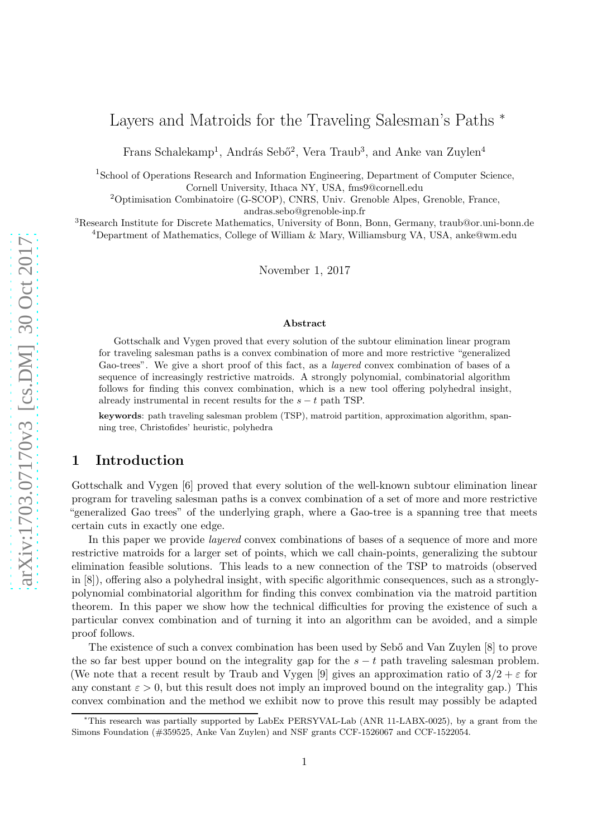# Layers and Matroids for the Traveling Salesman's Paths <sup>∗</sup>

Frans Schalekamp<sup>1</sup>, András Sebő<sup>2</sup>, Vera Traub<sup>3</sup>, and Anke van Zuylen<sup>4</sup>

<sup>1</sup>School of Operations Research and Information Engineering, Department of Computer Science, Cornell University, Ithaca NY, USA, fms9@cornell.edu

<sup>2</sup>Optimisation Combinatoire (G-SCOP), CNRS, Univ. Grenoble Alpes, Grenoble, France, andras.sebo@grenoble-inp.fr

<sup>3</sup>Research Institute for Discrete Mathematics, University of Bonn, Bonn, Germany, traub@or.uni-bonn.de <sup>4</sup>Department of Mathematics, College of William & Mary, Williamsburg VA, USA, anke@wm.edu

November 1, 2017

#### Abstract

Gottschalk and Vygen proved that every solution of the subtour elimination linear program for traveling salesman paths is a convex combination of more and more restrictive "generalized Gao-trees". We give a short proof of this fact, as a *layered* convex combination of bases of a sequence of increasingly restrictive matroids. A strongly polynomial, combinatorial algorithm follows for finding this convex combination, which is a new tool offering polyhedral insight, already instrumental in recent results for the  $s - t$  path TSP.

keywords: path traveling salesman problem (TSP), matroid partition, approximation algorithm, spanning tree, Christofides' heuristic, polyhedra

### 1 Introduction

Gottschalk and Vygen [\[6\]](#page-6-0) proved that every solution of the well-known subtour elimination linear program for traveling salesman paths is a convex combination of a set of more and more restrictive "generalized Gao trees" of the underlying graph, where a Gao-tree is a spanning tree that meets certain cuts in exactly one edge.

In this paper we provide layered convex combinations of bases of a sequence of more and more restrictive matroids for a larger set of points, which we call chain-points, generalizing the subtour elimination feasible solutions. This leads to a new connection of the TSP to matroids (observed in [\[8\]](#page-6-1)), offering also a polyhedral insight, with specific algorithmic consequences, such as a stronglypolynomial combinatorial algorithm for finding this convex combination via the matroid partition theorem. In this paper we show how the technical difficulties for proving the existence of such a particular convex combination and of turning it into an algorithm can be avoided, and a simple proof follows.

The existence of such a convex combination has been used by Sebő and Van Zuylen [\[8\]](#page-6-1) to prove the so far best upper bound on the integrality gap for the  $s - t$  path traveling salesman problem. (We note that a recent result by Traub and Vygen [\[9\]](#page-6-2) gives an approximation ratio of  $3/2 + \varepsilon$  for any constant  $\varepsilon > 0$ , but this result does not imply an improved bound on the integrality gap.) This convex combination and the method we exhibit now to prove this result may possibly be adapted

<sup>∗</sup>This research was partially supported by LabEx PERSYVAL-Lab (ANR 11-LABX-0025), by a grant from the Simons Foundation (#359525, Anke Van Zuylen) and NSF grants CCF-1526067 and CCF-1522054.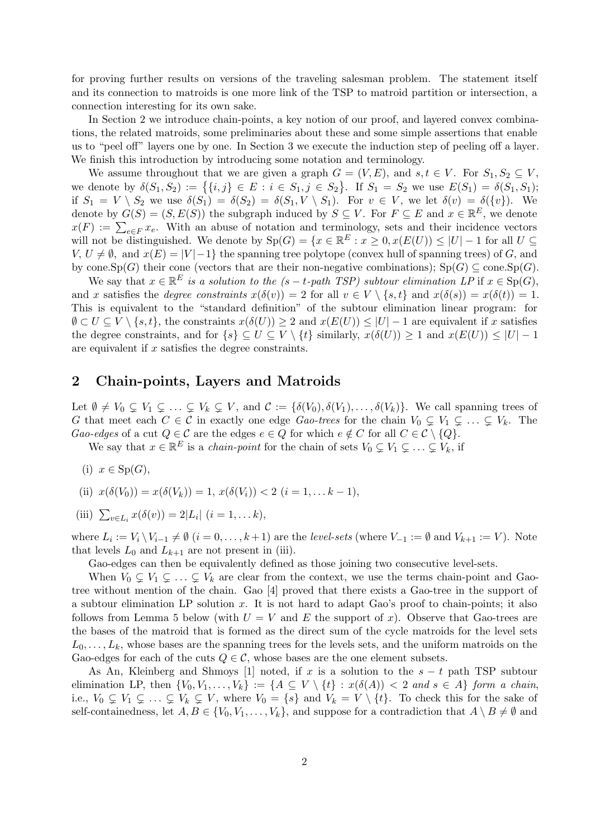for proving further results on versions of the traveling salesman problem. The statement itself and its connection to matroids is one more link of the TSP to matroid partition or intersection, a connection interesting for its own sake.

In Section [2](#page-1-0) we introduce chain-points, a key notion of our proof, and layered convex combinations, the related matroids, some preliminaries about these and some simple assertions that enable us to "peel off" layers one by one. In Section [3](#page-3-0) we execute the induction step of peeling off a layer. We finish this introduction by introducing some notation and terminology.

We assume throughout that we are given a graph  $G = (V, E)$ , and  $s, t \in V$ . For  $S_1, S_2 \subseteq V$ , we denote by  $\delta(S_1, S_2) := \{ \{i, j\} \in E : i \in S_1, j \in S_2 \}.$  If  $S_1 = S_2$  we use  $E(S_1) = \delta(S_1, S_1);$ if  $S_1 = V \setminus S_2$  we use  $\delta(S_1) = \delta(S_2) = \delta(S_1, V \setminus S_1)$ . For  $v \in V$ , we let  $\delta(v) = \delta({v})$ . We denote by  $G(S) = (S, E(S))$  the subgraph induced by  $S \subseteq V$ . For  $F \subseteq E$  and  $x \in \mathbb{R}^E$ , we denote  $x(F) := \sum_{e \in F} x_e$ . With an abuse of notation and terminology, sets and their incidence vectors will not be distinguished. We denote by  $Sp(G) = \{x \in \mathbb{R}^E : x \geq 0, x(E(U)) \leq |U| - 1 \text{ for all } U \subseteq$  $V, U \neq \emptyset$ , and  $x(E) = |V| - 1$  the spanning tree polytope (convex hull of spanning trees) of G, and by cone.Sp(G) their cone (vectors that are their non-negative combinations);  $Sp(G) \subseteq cone(Sp(G))$ .

We say that  $x \in \mathbb{R}^E$  is a solution to the  $(s - t$ -path TSP) subtour elimination LP if  $x \in Sp(G)$ , and x satisfies the *degree constraints*  $x(\delta(v)) = 2$  for all  $v \in V \setminus \{s, t\}$  and  $x(\delta(s)) = x(\delta(t)) = 1$ . This is equivalent to the "standard definition" of the subtour elimination linear program: for  $\emptyset \subset U \subseteq V \setminus \{s, t\}$ , the constraints  $x(\delta(U)) \geq 2$  and  $x(E(U)) \leq |U| - 1$  are equivalent if x satisfies the degree constraints, and for  $\{s\} \subseteq U \subseteq V \setminus \{t\}$  similarly,  $x(\delta(U)) \geq 1$  and  $x(E(U)) \leq |U| - 1$ are equivalent if  $x$  satisfies the degree constraints.

### <span id="page-1-0"></span>2 Chain-points, Layers and Matroids

Let  $\emptyset \neq V_0 \subsetneq V_1 \subsetneq \ldots \subsetneq V_k \subsetneq V$ , and  $\mathcal{C} := \{\delta(V_0), \delta(V_1), \ldots, \delta(V_k)\}\$ . We call spanning trees of G that meet each  $C \in \mathcal{C}$  in exactly one edge Gao-trees for the chain  $V_0 \subsetneq V_1 \subsetneq \ldots \subsetneq V_k$ . The Gao-edges of a cut  $Q \in \mathcal{C}$  are the edges  $e \in Q$  for which  $e \notin C$  for all  $C \in \mathcal{C} \setminus \{Q\}.$ 

We say that  $x \in \mathbb{R}^E$  is a *chain-point* for the chain of sets  $V_0 \subsetneq V_1 \subsetneq \ldots \subsetneq V_k$ , if

- (i)  $x \in Sp(G)$ ,
- (ii)  $x(\delta(V_0)) = x(\delta(V_k)) = 1, x(\delta(V_i)) < 2 \ (i = 1, \ldots k 1),$

(iii) 
$$
\sum_{v \in L_i} x(\delta(v)) = 2|L_i| \ (i = 1, \dots k),
$$

where  $L_i := V_i \setminus V_{i-1} \neq \emptyset$   $(i = 0, \ldots, k+1)$  are the *level-sets* (where  $V_{-1} := \emptyset$  and  $V_{k+1} := V$ ). Note that levels  $L_0$  and  $L_{k+1}$  are not present in (iii).

Gao-edges can then be equivalently defined as those joining two consecutive level-sets.

When  $V_0 \subsetneq V_1 \subsetneq \ldots \subsetneq V_k$  are clear from the context, we use the terms chain-point and Gaotree without mention of the chain. Gao [\[4\]](#page-6-3) proved that there exists a Gao-tree in the support of a subtour elimination LP solution x. It is not hard to adapt Gao's proof to chain-points; it also follows from Lemma [5](#page-3-1) below (with  $U = V$  and E the support of x). Observe that Gao-trees are the bases of the matroid that is formed as the direct sum of the cycle matroids for the level sets  $L_0, \ldots, L_k$ , whose bases are the spanning trees for the levels sets, and the uniform matroids on the Gao-edges for each of the cuts  $Q \in \mathcal{C}$ , whose bases are the one element subsets.

As An, Kleinberg and Shmoys [\[1\]](#page-6-4) noted, if x is a solution to the  $s - t$  path TSP subtour elimination LP, then  $\{V_0, V_1, \ldots, V_k\} := \{A \subseteq V \setminus \{t\} : x(\delta(A)) < 2 \text{ and } s \in A\}$  form a chain, i.e.,  $V_0 \subsetneq V_1 \subsetneq \ldots \subsetneq V_k \subsetneq V$ , where  $V_0 = \{s\}$  and  $V_k = V \setminus \{t\}$ . To check this for the sake of self-containedness, let  $A, B \in \{V_0, V_1, \ldots, V_k\}$ , and suppose for a contradiction that  $A \setminus B \neq \emptyset$  and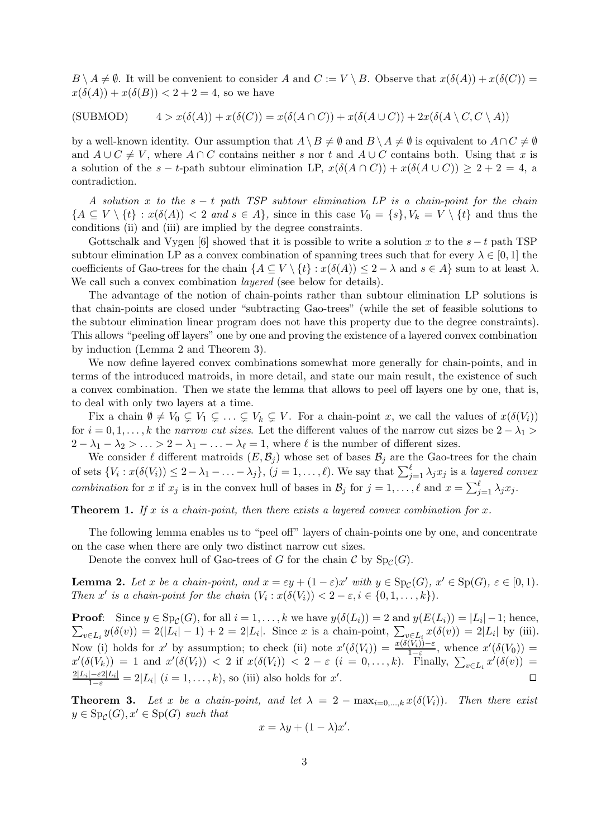$B \setminus A \neq \emptyset$ . It will be convenient to consider A and  $C := V \setminus B$ . Observe that  $x(\delta(A)) + x(\delta(C)) =$  $x(\delta(A)) + x(\delta(B)) < 2 + 2 = 4$ , so we have

(SUBMOD)  $4 > x(\delta(A)) + x(\delta(C)) = x(\delta(A \cap C)) + x(\delta(A \cup C)) + 2x(\delta(A \setminus C, C \setminus A))$ 

by a well-known identity. Our assumption that  $A \setminus B \neq \emptyset$  and  $B \setminus A \neq \emptyset$  is equivalent to  $A \cap C \neq \emptyset$ and  $A \cup C \neq V$ , where  $A \cap C$  contains neither s nor t and  $A \cup C$  contains both. Using that x is a solution of the s - t-path subtour elimination LP,  $x(\delta(A \cap C)) + x(\delta(A \cup C)) \geq 2 + 2 = 4$ , a contradiction.

A solution x to the  $s - t$  path TSP subtour elimination LP is a chain-point for the chain  ${A \subseteq V \setminus \{t\} : x(\delta(A)) < 2 \text{ and } s \in A\},\$  since in this case  $V_0 = \{s\}, V_k = V \setminus \{t\}$  and thus the conditions (ii) and (iii) are implied by the degree constraints.

Gottschalk and Vygen [\[6\]](#page-6-0) showed that it is possible to write a solution x to the  $s - t$  path TSP subtour elimination LP as a convex combination of spanning trees such that for every  $\lambda \in [0,1]$  the coefficients of Gao-trees for the chain  $\{A \subseteq V \setminus \{t\} : x(\delta(A)) \leq 2 - \lambda \text{ and } s \in A\}$  sum to at least  $\lambda$ . We call such a convex combination *layered* (see below for details).

The advantage of the notion of chain-points rather than subtour elimination LP solutions is that chain-points are closed under "subtracting Gao-trees" (while the set of feasible solutions to the subtour elimination linear program does not have this property due to the degree constraints). This allows "peeling off layers" one by one and proving the existence of a layered convex combination by induction (Lemma [2](#page-2-0) and Theorem [3\)](#page-2-1).

We now define layered convex combinations somewhat more generally for chain-points, and in terms of the introduced matroids, in more detail, and state our main result, the existence of such a convex combination. Then we state the lemma that allows to peel off layers one by one, that is, to deal with only two layers at a time.

Fix a chain  $\emptyset \neq V_0 \subsetneq V_1 \subsetneq \ldots \subsetneq V_k \subsetneq V$ . For a chain-point x, we call the values of  $x(\delta(V_i))$ for  $i = 0, 1, \ldots, k$  the narrow cut sizes. Let the different values of the narrow cut sizes be  $2 - \lambda_1 >$  $2 - \lambda_1 - \lambda_2 > \ldots > 2 - \lambda_1 - \ldots - \lambda_\ell = 1$ , where  $\ell$  is the number of different sizes.

We consider  $\ell$  different matroids  $(E,\mathcal{B}_j)$  whose set of bases  $\mathcal{B}_j$  are the Gao-trees for the chain of sets  $\{V_i : x(\delta(V_i)) \leq 2 - \lambda_1 - \ldots - \lambda_j\}, (j = 1, \ldots, \ell)$ . We say that  $\sum_{j=1}^{\ell} \lambda_j x_j$  is a layered convex combination for x if  $x_j$  is in the convex hull of bases in  $\mathcal{B}_j$  for  $j = 1, \ldots, \ell$  and  $x = \sum_{j=1}^{\ell} \lambda_j x_j$ .

<span id="page-2-2"></span>**Theorem 1.** If x is a chain-point, then there exists a layered convex combination for x.

The following lemma enables us to "peel off" layers of chain-points one by one, and concentrate on the case when there are only two distinct narrow cut sizes.

Denote the convex hull of Gao-trees of G for the chain  $\mathcal{C}$  by  $Sp_{\mathcal{C}}(G)$ .

<span id="page-2-0"></span>**Lemma 2.** Let x be a chain-point, and  $x = \varepsilon y + (1 - \varepsilon)x'$  with  $y \in Sp_{\mathcal{C}}(G)$ ,  $x' \in Sp(G)$ ,  $\varepsilon \in [0, 1)$ . Then x' is a chain-point for the chain  $(V_i: x(\delta(V_i)) < 2 - \varepsilon, i \in \{0, 1, ..., k\}).$ 

**Proof:** Since  $y \in \text{Sp}_\mathcal{C}(G)$ , for all  $i = 1, ..., k$  we have  $y(\delta(L_i)) = 2$  and  $y(E(L_i)) = |L_i| - 1$ ; hence,  $\sum_{v \in L_i} y(\delta(v)) = 2(|L_i| - 1) + 2 = 2|L_i|$ . Since x is a chain-point,  $\sum_{v \in L_i} x(\delta(v)) = 2|L_i|$  by (iii). Now (i) holds for x' by assumption; to check (ii) note  $x'(\delta(V_i)) = \frac{x(\delta(V_i)) - \varepsilon}{1 - \varepsilon}$ , whence  $x'(\delta(V_0)) =$  $x'(\delta(V_k)) = 1$  and  $x'(\delta(V_i)) < 2$  if  $x(\delta(V_i)) < 2 - \varepsilon$   $(i = 0, \ldots, k)$ . Finally,  $\sum_{v \in L_i} x'(\delta(v)) =$  $\frac{2|L_i| - \varepsilon 2|L_i|}{1 - \varepsilon} = 2|L_i|$   $(i = 1, ..., k)$ , so (iii) also holds for  $x'$ .

<span id="page-2-1"></span>**Theorem 3.** Let x be a chain-point, and let  $\lambda = 2 - \max_{i=0,\dots,k} x(\delta(V_i))$ . Then there exist  $y \in \text{Sp}_{\mathcal{C}}(G), x' \in \text{Sp}(G)$  such that

$$
x = \lambda y + (1 - \lambda)x'.
$$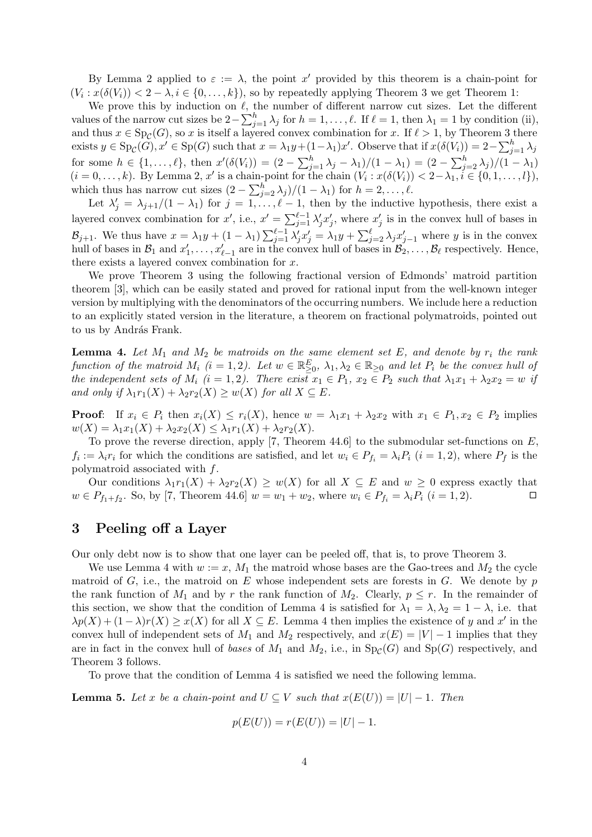By Lemma [2](#page-2-0) applied to  $\varepsilon := \lambda$ , the point x' provided by this theorem is a chain-point for  $(V_i: x(\delta(V_i)) < 2 - \lambda, i \in \{0, \ldots, k\}),$  so by repeatedly applying Theorem [3](#page-2-1) we get Theorem [1:](#page-2-2)

We prove this by induction on  $\ell$ , the number of different narrow cut sizes. Let the different values of the narrow cut sizes be  $2-\sum_{j=1}^{h} \lambda_j$  for  $h=1,\ldots,\ell$ . If  $\ell=1$ , then  $\lambda_1=1$  by condition (ii), and thus  $x \in Sp_{\mathcal{C}}(G)$ , so x is itself a layered convex combination for x. If  $\ell > 1$ , by Theorem [3](#page-2-1) there exists  $y \in \mathrm{Sp}_\mathcal{C}(G)$ ,  $x' \in \mathrm{Sp}(G)$  such that  $x = \lambda_1 y + (1 - \lambda_1)x'$ . Observe that if  $x(\delta(V_i)) = 2 - \sum_{j=1}^h \lambda_j$ for some  $h \in \{1, ..., \ell\}$ , then  $x'(\delta(V_i)) = (2 - \sum_{j=1}^h \lambda_j - \lambda_1)/(1 - \lambda_1) = (2 - \sum_{j=2}^h \lambda_j)/(1 - \lambda_1)$  $(i = 0, \ldots, k)$ . By Lemma [2,](#page-2-0) x' is a chain-point for the chain  $(V_i : x(\delta(V_i)) < 2 - \lambda_1, i \in \{0, 1, \ldots, l\}),$ which thus has narrow cut sizes  $(2 - \sum_{j=2}^{h} \lambda_j)/(1 - \lambda_1)$  for  $h = 2, \ldots, \ell$ .

Let  $\lambda'_j = \lambda_{j+1}/(1-\lambda_1)$  for  $j = 1,\ldots,\ell-1$ , then by the inductive hypothesis, there exist a layered convex combination for  $x'$ , i.e.,  $x' = \sum_{j=1}^{\ell-1} \lambda'_j x'_j$ , where  $x'_j$  is in the convex hull of bases in  $\mathcal{B}_{j+1}$ . We thus have  $x = \lambda_1 y + (1 - \lambda_1) \sum_{j=1}^{\ell-1} \lambda'_j x'_j = \lambda_1 y + \sum_{j=2}^{\ell} \lambda_j x'_j$  where y is in the convex hull of bases in  $\mathcal{B}_1$  and  $x'_1, \ldots, x'_{\ell-1}$  are in the convex hull of bases in  $\mathcal{B}_2, \ldots, \mathcal{B}_\ell$  respectively. Hence, there exists a layered convex combination for x.

We prove Theorem [3](#page-2-1) using the following fractional version of Edmonds' matroid partition theorem [\[3\]](#page-6-5), which can be easily stated and proved for rational input from the well-known integer version by multiplying with the denominators of the occurring numbers. We include here a reduction to an explicitly stated version in the literature, a theorem on fractional polymatroids, pointed out to us by András Frank.

<span id="page-3-2"></span>**Lemma 4.** Let  $M_1$  and  $M_2$  be matroids on the same element set E, and denote by  $r_i$  the rank function of the matroid  $M_i$   $(i = 1, 2)$ . Let  $w \in \mathbb{R}^E_{\geq 0}$ ,  $\lambda_1, \lambda_2 \in \mathbb{R}_{\geq 0}$  and let  $P_i$  be the convex hull of the independent sets of  $M_i$   $(i = 1, 2)$ . There exist  $x_1 \in P_1$ ,  $x_2 \in P_2$  such that  $\lambda_1 x_1 + \lambda_2 x_2 = w$  if and only if  $\lambda_1 r_1(X) + \lambda_2 r_2(X) \geq w(X)$  for all  $X \subseteq E$ .

**Proof:** If  $x_i \in P_i$  then  $x_i(X) \leq r_i(X)$ , hence  $w = \lambda_1 x_1 + \lambda_2 x_2$  with  $x_1 \in P_1, x_2 \in P_2$  implies  $w(X) = \lambda_1 x_1(X) + \lambda_2 x_2(X) \leq \lambda_1 r_1(X) + \lambda_2 r_2(X).$ 

To prove the reverse direction, apply [\[7,](#page-6-6) Theorem 44.6] to the submodular set-functions on  $E$ ,  $f_i := \lambda_i r_i$  for which the conditions are satisfied, and let  $w_i \in P_{f_i} = \lambda_i P_i$   $(i = 1, 2)$ , where  $P_f$  is the polymatroid associated with f.

Our conditions  $\lambda_1 r_1(X) + \lambda_2 r_2(X) \geq w(X)$  for all  $X \subseteq E$  and  $w \geq 0$  express exactly that  $w \in P_{f_1+f_2}$ . So, by [\[7,](#page-6-6) Theorem 44.6]  $w = w_1 + w_2$ , where  $w_i \in P_{f_i} = \lambda_i P_i$   $(i = 1, 2)$ .

## <span id="page-3-0"></span>3 Peeling off a Layer

Our only debt now is to show that one layer can be peeled off, that is, to prove Theorem [3.](#page-2-1)

We use Lemma [4](#page-3-2) with  $w := x$ ,  $M_1$  the matroid whose bases are the Gao-trees and  $M_2$  the cycle matroid of  $G$ , i.e., the matroid on  $E$  whose independent sets are forests in  $G$ . We denote by  $p$ the rank function of  $M_1$  and by r the rank function of  $M_2$ . Clearly,  $p \leq r$ . In the remainder of this section, we show that the condition of Lemma [4](#page-3-2) is satisfied for  $\lambda_1 = \lambda, \lambda_2 = 1 - \lambda$ , i.e. that  $\lambda p(X) + (1 - \lambda)r(X) \geq x(X)$  for all  $X \subseteq E$ . Lemma [4](#page-3-2) then implies the existence of y and x' in the convex hull of independent sets of  $M_1$  and  $M_2$  respectively, and  $x(E) = |V| - 1$  implies that they are in fact in the convex hull of bases of  $M_1$  and  $M_2$ , i.e., in  $Sp_{\mathcal{C}}(G)$  and  $Sp(G)$  respectively, and Theorem [3](#page-2-1) follows.

To prove that the condition of Lemma [4](#page-3-2) is satisfied we need the following lemma.

<span id="page-3-1"></span>**Lemma 5.** Let x be a chain-point and  $U \subseteq V$  such that  $x(E(U)) = |U| - 1$ . Then

$$
p(E(U)) = r(E(U)) = |U| - 1.
$$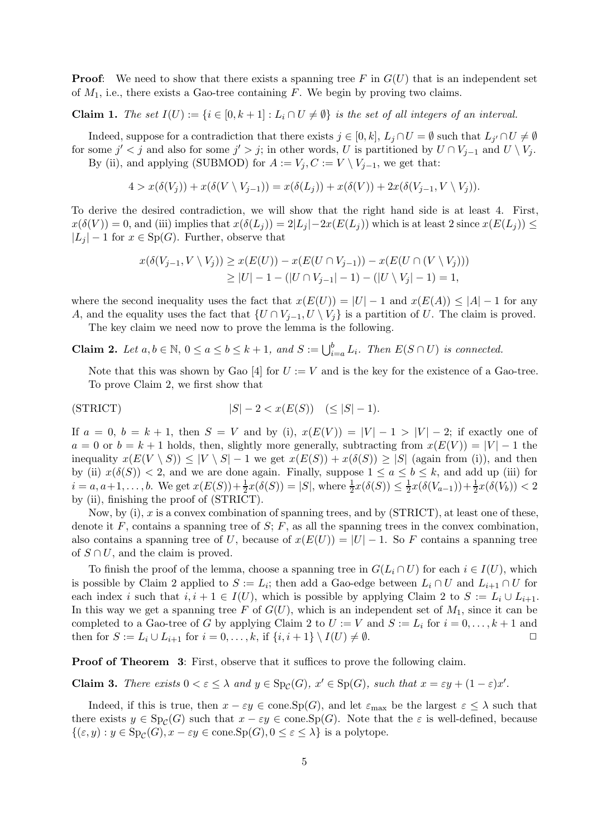**Proof:** We need to show that there exists a spanning tree F in  $G(U)$  that is an independent set of  $M_1$ , i.e., there exists a Gao-tree containing F. We begin by proving two claims.

**Claim 1.** The set  $I(U) := \{i \in [0, k+1] : L_i \cap U \neq \emptyset\}$  is the set of all integers of an interval.

Indeed, suppose for a contradiction that there exists  $j \in [0,k]$ ,  $L_j \cap U = \emptyset$  such that  $L_{j'} \cap U \neq \emptyset$ for some  $j' < j$  and also for some  $j' > j$ ; in other words, U is partitioned by  $U \cap V_{j-1}$  and  $U \setminus V_j$ .

By (ii), and applying (SUBMOD) for  $A := V_j, C := V \setminus V_{j-1}$ , we get that:

$$
4 > x(\delta(V_j)) + x(\delta(V \setminus V_{j-1})) = x(\delta(L_j)) + x(\delta(V)) + 2x(\delta(V_{j-1}, V \setminus V_j)).
$$

To derive the desired contradiction, we will show that the right hand side is at least 4. First,  $x(\delta(V)) = 0$ , and (iii) implies that  $x(\delta(L_i)) = 2|L_i| - 2x(E(L_i))$  which is at least 2 since  $x(E(L_i)) \le$  $|L_j| - 1$  for  $x \in Sp(G)$ . Further, observe that

$$
x(\delta(V_{j-1}, V \setminus V_j)) \ge x(E(U)) - x(E(U \cap V_{j-1})) - x(E(U \cap (V \setminus V_j)))
$$
  
\n
$$
\ge |U| - 1 - (|U \cap V_{j-1}| - 1) - (|U \setminus V_j| - 1) = 1,
$$

where the second inequality uses the fact that  $x(E(U)) = |U| - 1$  and  $x(E(A)) \leq |A| - 1$  for any A, and the equality uses the fact that  $\{U \cap V_{j-1}, U \setminus V_j\}$  is a partition of U. The claim is proved.

The key claim we need now to prove the lemma is the following.

<span id="page-4-0"></span>**Claim 2.** Let  $a, b \in \mathbb{N}$ ,  $0 \le a \le b \le k+1$ , and  $S := \bigcup_{i=a}^{b} L_i$ . Then  $E(S \cap U)$  is connected.

Note that this was shown by Gao [\[4\]](#page-6-3) for  $U := V$  and is the key for the existence of a Gao-tree. To prove Claim [2,](#page-4-0) we first show that

$$
|S| - 2 < x(E(S)) \quad (\leq |S| - 1).
$$

If  $a = 0$ ,  $b = k + 1$ , then  $S = V$  and by (i),  $x(E(V)) = |V| - 1 > |V| - 2$ ; if exactly one of  $a = 0$  or  $b = k + 1$  holds, then, slightly more generally, subtracting from  $x(E(V)) = |V| - 1$  the inequality  $x(E(V \setminus S)) \leq |V \setminus S| - 1$  we get  $x(E(S)) + x(\delta(S)) \geq |S|$  (again from (i)), and then by (ii)  $x(\delta(S)) < 2$ , and we are done again. Finally, suppose  $1 \le a \le b \le k$ , and add up (iii) for  $i = a, a+1, ..., b$ . We get  $x(E(S)) + \frac{1}{2}x(\delta(S)) = |S|$ , where  $\frac{1}{2}x(\delta(S)) \leq \frac{1}{2}$  $\frac{1}{2}x(\delta(V_{a-1})) + \frac{1}{2}x(\delta(V_b)) < 2$ by (ii), finishing the proof of (STRICT).

Now, by (i), x is a convex combination of spanning trees, and by  $(STRICT)$ , at least one of these, denote it  $F$ , contains a spanning tree of  $S$ ;  $F$ , as all the spanning trees in the convex combination, also contains a spanning tree of U, because of  $x(E(U)) = |U| - 1$ . So F contains a spanning tree of  $S \cap U$ , and the claim is proved.

To finish the proof of the lemma, choose a spanning tree in  $G(L_i \cap U)$  for each  $i \in I(U)$ , which is possible by Claim [2](#page-4-0) applied to  $S := L_i$ ; then add a Gao-edge between  $L_i \cap U$  and  $L_{i+1} \cap U$  for each index i such that  $i, i + 1 \in I(U)$ , which is possible by applying Claim [2](#page-4-0) to  $S := L_i \cup L_{i+1}$ . In this way we get a spanning tree F of  $G(U)$ , which is an independent set of  $M_1$ , since it can be completed to a Gao-tree of G by applying Claim 2 to  $U := V$  and  $S := L_i$  for  $i = 0, \ldots, k + 1$  and then for  $S := L_i \cup L_{i+1}$  for  $i = 0, \ldots, k$ , if  $\{i, i+1\} \setminus I(U) \neq \emptyset$ .

**Proof of Theorem [3](#page-2-1):** First, observe that it suffices to prove the following claim.

<span id="page-4-1"></span>**Claim 3.** There exists  $0 < \varepsilon \leq \lambda$  and  $y \in \text{Sp}_{\mathcal{C}}(G)$ ,  $x' \in \text{Sp}(G)$ , such that  $x = \varepsilon y + (1 - \varepsilon)x'$ .

Indeed, if this is true, then  $x - \varepsilon y \in \text{cone}$ . Sp(G), and let  $\varepsilon_{\text{max}}$  be the largest  $\varepsilon \leq \lambda$  such that there exists  $y \in Sp_{\mathcal{C}}(G)$  such that  $x - \varepsilon y \in cone(Sp(G))$ . Note that the  $\varepsilon$  is well-defined, because  $\{(\varepsilon, y) : y \in \text{Sp}_{\mathcal{C}}(G), x - \varepsilon y \in \text{cone}.\text{Sp}(G), 0 \le \varepsilon \le \lambda\}$  is a polytope.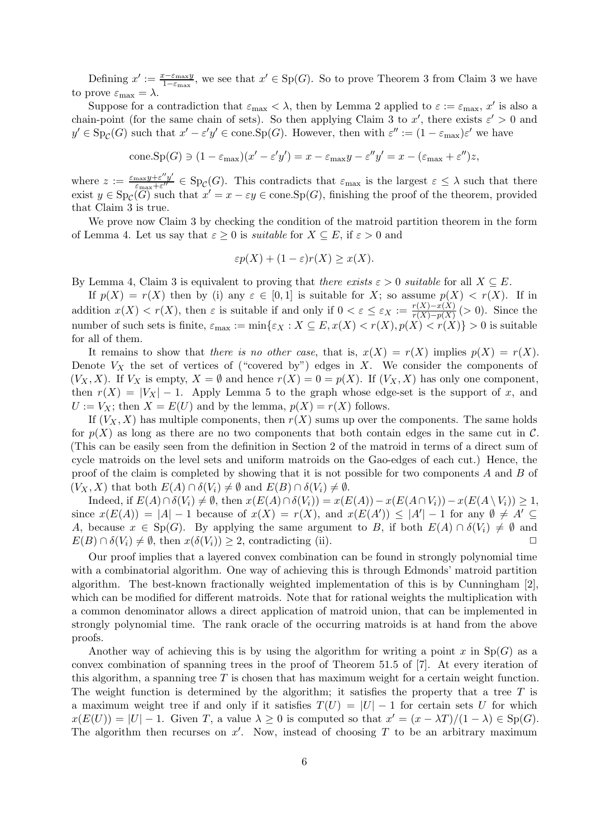Defining  $x' := \frac{x - \varepsilon_{\max} y}{1 - \varepsilon_{\max}}$  $\frac{x-\varepsilon_{\max}y}{1-\varepsilon_{\max}}$ , we see that  $x' \in Sp(G)$ . So to prove Theorem [3](#page-4-1) from Claim 3 we have to prove  $\varepsilon_{\text{max}} = \lambda$ .

Suppose for a contradiction that  $\varepsilon_{\text{max}} < \lambda$ , then by Lemma [2](#page-2-0) applied to  $\varepsilon := \varepsilon_{\text{max}}$ , x' is also a chain-point (for the same chain of sets). So then applying Claim [3](#page-4-1) to x', there exists  $\varepsilon' > 0$  and  $y' \in \mathrm{Sp}_{\mathcal{C}}(G)$  such that  $x' - \varepsilon' y' \in \mathrm{cone}.\mathrm{Sp}(G)$ . However, then with  $\varepsilon'' := (1 - \varepsilon_{\max})\varepsilon'$  we have

cone.Sp(G) 
$$
\ni (1 - \varepsilon_{\max})(x' - \varepsilon'y') = x - \varepsilon_{\max}y - \varepsilon''y' = x - (\varepsilon_{\max} + \varepsilon'')z,
$$

where  $z := \frac{\varepsilon_{\max} y + \varepsilon'' y''}{\varepsilon_{\max} + \varepsilon''}$  $\frac{\max y + \varepsilon^{\gamma y}}{\varepsilon_{\max} + \varepsilon^{\gamma y}} \in \mathrm{Sp}_{\mathcal{C}}(G)$ . This contradicts that  $\varepsilon_{\max}$  is the largest  $\varepsilon \leq \lambda$  such that there exist  $y \in \mathrm{Sp}_{\mathcal{C}}(\overline{G})$  such that  $x' = x - \varepsilon y \in \mathrm{cone}$ . Sp $(G)$ , finishing the proof of the theorem, provided that Claim [3](#page-4-1) is true.

We prove now Claim [3](#page-4-1) by checking the condition of the matroid partition theorem in the form of Lemma [4.](#page-3-2) Let us say that  $\varepsilon \geq 0$  is *suitable* for  $X \subseteq E$ , if  $\varepsilon > 0$  and

$$
\varepsilon p(X) + (1 - \varepsilon)r(X) \ge x(X).
$$

By Lemma [4,](#page-3-2) Claim [3](#page-4-1) is equivalent to proving that there exists  $\varepsilon > 0$  suitable for all  $X \subseteq E$ .

If  $p(X) = r(X)$  then by (i) any  $\varepsilon \in [0,1]$  is suitable for X; so assume  $p(X) < r(X)$ . If in addition  $x(X) < r(X)$ , then  $\varepsilon$  is suitable if and only if  $0 < \varepsilon \leq \varepsilon_X := \frac{r(X) - x(X)}{r(X) - r(X)}$  $\frac{r(X)-x(X)}{r(X)-p(X)}$  (> 0). Since the number of such sets is finite,  $\varepsilon_{\text{max}} := \min\{\varepsilon_X : X \subseteq E, x(X) < r(X), p(X) < r(X)\} > 0$  is suitable for all of them.

It remains to show that there is no other case, that is,  $x(X) = r(X)$  implies  $p(X) = r(X)$ . Denote  $V_X$  the set of vertices of ("covered by") edges in X. We consider the components of  $(V_X, X)$ . If  $V_X$  is empty,  $X = \emptyset$  and hence  $r(X) = 0 = p(X)$ . If  $(V_X, X)$  has only one component, then  $r(X) = |V_X| - 1$ . Apply Lemma [5](#page-3-1) to the graph whose edge-set is the support of x, and  $U := V_X$ ; then  $X = E(U)$  and by the lemma,  $p(X) = r(X)$  follows.

If  $(V_X, X)$  has multiple components, then  $r(X)$  sums up over the components. The same holds for  $p(X)$  as long as there are no two components that both contain edges in the same cut in C. (This can be easily seen from the definition in Section [2](#page-1-0) of the matroid in terms of a direct sum of cycle matroids on the level sets and uniform matroids on the Gao-edges of each cut.) Hence, the proof of the claim is completed by showing that it is not possible for two components A and B of  $(V_X, X)$  that both  $E(A) \cap \delta(V_i) \neq \emptyset$  and  $E(B) \cap \delta(V_i) \neq \emptyset$ .

Indeed, if  $E(A) \cap \delta(V_i) \neq \emptyset$ , then  $x(E(A) \cap \delta(V_i)) = x(E(A)) - x(E(A \cap V_i)) - x(E(A \setminus V_i)) \geq 1$ , since  $x(E(A)) = |A| - 1$  because of  $x(X) = r(X)$ , and  $x(E(A')) \leq |A'| - 1$  for any  $\emptyset \neq A' \subseteq$ A, because  $x \in Sp(G)$ . By applying the same argument to B, if both  $E(A) \cap \delta(V_i) \neq \emptyset$  and  $E(B) \cap \delta(V_i) \neq \emptyset$ , then  $x(\delta(V_i)) \geq 2$ , contradicting (ii).

Our proof implies that a layered convex combination can be found in strongly polynomial time with a combinatorial algorithm. One way of achieving this is through Edmonds' matroid partition algorithm. The best-known fractionally weighted implementation of this is by Cunningham [\[2\]](#page-6-7), which can be modified for different matroids. Note that for rational weights the multiplication with a common denominator allows a direct application of matroid union, that can be implemented in strongly polynomial time. The rank oracle of the occurring matroids is at hand from the above proofs.

Another way of achieving this is by using the algorithm for writing a point x in  $Sp(G)$  as a convex combination of spanning trees in the proof of Theorem 51.5 of [\[7\]](#page-6-6). At every iteration of this algorithm, a spanning tree  $T$  is chosen that has maximum weight for a certain weight function. The weight function is determined by the algorithm; it satisfies the property that a tree  $T$  is a maximum weight tree if and only if it satisfies  $T(U) = |U| - 1$  for certain sets U for which  $x(E(U)) = |U| - 1$ . Given T, a value  $\lambda \geq 0$  is computed so that  $x' = (x - \lambda T)/(1 - \lambda) \in Sp(G)$ . The algorithm then recurses on  $x'$ . Now, instead of choosing  $T$  to be an arbitrary maximum